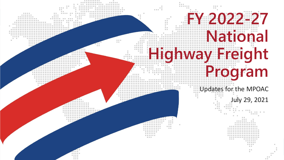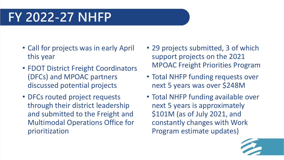#### **FY 2022-27 NHFP**

- Call for projects was in early April this year
- FDOT District Freight Coordinators (DFCs) and MPOAC partners discussed potential projects
- DFCs routed project requests through their district leadership and submitted to the Freight and Multimodal Operations Office for prioritization
- 29 projects submitted, 3 of which support projects on the 2021 MPOAC Freight Priorities Program
- Total NHFP funding requests over next 5 years was over \$248M
- Total NHFP funding available over next 5 years is approximately \$101M (as of July 2021, and constantly changes with Work Program estimate updates)

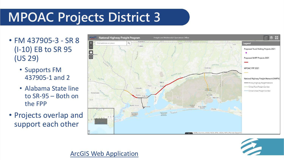# **MPOAC Projects District 3**

- FM 437905-3 SR 8 (I-10) EB to SR 95 (US 29)
	- Supports FM 437905-1 and 2
	- Alabama State line to SR-95 – Both on the FPP
- Projects overlap and support each other





#### [ArcGIS Web Application](https://hdr.maps.arcgis.com/apps/webappviewer/index.html?id=965dac90b733474682cd3da5c986ba3d)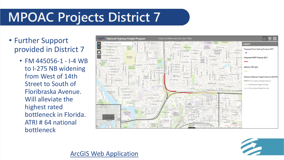## **MPOAC Projects District 7**

- Further Support provided in District 7
	- FM 445056-1 I-4 WB to I-275 NB widening from West of 14th Street to South of Floribraska Avenue. Will alleviate the highest rated bottleneck in Florida. ATRI # 64 national bottleneck



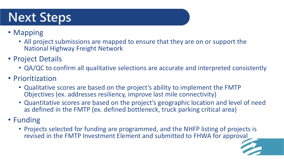## **Next Steps**

#### • Mapping

- All project submissions are mapped to ensure that they are on or support the National Highway Freight Network
- Project Details
	- QA/QC to confirm all qualitative selections are accurate and interpreted consistently
- Prioritization
	- Qualitative scores are based on the project's ability to implement the FMTP Objectives (ex. addresses resiliency, improve last mile connectivity)
	- Quantitative scores are based on the project's geographic location and level of need as defined in the FMTP (ex. defined bottleneck, truck parking critical area)
- Funding
	- Projects selected for funding are programmed, and the NHFP listing of projects is revised in the FMTP Investment Element and submitted to FHWA for approval